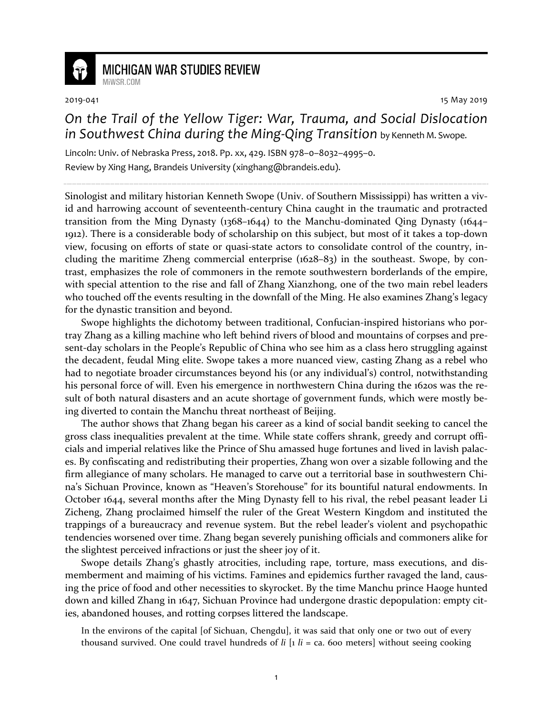

## **MICHIGAN WAR STUDIES REVIEW** MiWSR COM

2019-041 15 May 2019

## *On the Trail of the Yellow Tiger: War, Trauma, and Social Dislocation in Southwest China during the Ming-Qing Transition* by Kenneth M. Swope.

Lincoln: Univ. of Nebraska Press, 2018. Pp. xx, 429. ISBN 978–0–8032–4995–0. Review by Xing Hang, Brandeis University (xinghang@brandeis.edu).

Sinologist and military historian Kenneth Swope (Univ. of Southern Mississippi) has written a vivid and harrowing account of seventeenth-century China caught in the traumatic and protracted transition from the Ming Dynasty (1368–1644) to the Manchu-dominated Qing Dynasty (1644– 1912). There is a considerable body of scholarship on this subject, but most of it takes a top-down view, focusing on efforts of state or quasi-state actors to consolidate control of the country, including the maritime Zheng commercial enterprise (1628–83) in the southeast. Swope, by contrast, emphasizes the role of commoners in the remote southwestern borderlands of the empire, with special attention to the rise and fall of Zhang Xianzhong, one of the two main rebel leaders who touched off the events resulting in the downfall of the Ming. He also examines Zhang's legacy for the dynastic transition and beyond.

Swope highlights the dichotomy between traditional, Confucian-inspired historians who portray Zhang as a killing machine who left behind rivers of blood and mountains of corpses and present-day scholars in the People's Republic of China who see him as a class hero struggling against the decadent, feudal Ming elite. Swope takes a more nuanced view, casting Zhang as a rebel who had to negotiate broader circumstances beyond his (or any individual's) control, notwithstanding his personal force of will. Even his emergence in northwestern China during the 1620s was the result of both natural disasters and an acute shortage of government funds, which were mostly being diverted to contain the Manchu threat northeast of Beijing.

The author shows that Zhang began his career as a kind of social bandit seeking to cancel the gross class inequalities prevalent at the time. While state coffers shrank, greedy and corrupt officials and imperial relatives like the Prince of Shu amassed huge fortunes and lived in lavish palaces. By confiscating and redistributing their properties, Zhang won over a sizable following and the firm allegiance of many scholars. He managed to carve out a territorial base in southwestern China's Sichuan Province, known as "Heaven's Storehouse" for its bountiful natural endowments. In October 1644, several months after the Ming Dynasty fell to his rival, the rebel peasant leader Li Zicheng, Zhang proclaimed himself the ruler of the Great Western Kingdom and instituted the trappings of a bureaucracy and revenue system. But the rebel leader's violent and psychopathic tendencies worsened over time. Zhang began severely punishing officials and commoners alike for the slightest perceived infractions or just the sheer joy of it.

Swope details Zhang's ghastly atrocities, including rape, torture, mass executions, and dismemberment and maiming of his victims. Famines and epidemics further ravaged the land, causing the price of food and other necessities to skyrocket. By the time Manchu prince Haoge hunted down and killed Zhang in 1647, Sichuan Province had undergone drastic depopulation: empty cities, abandoned houses, and rotting corpses littered the landscape.

In the environs of the capital [of Sichuan, Chengdu], it was said that only one or two out of every thousand survived. One could travel hundreds of  $li$   $[i]$   $li$  = ca. 600 meters] without seeing cooking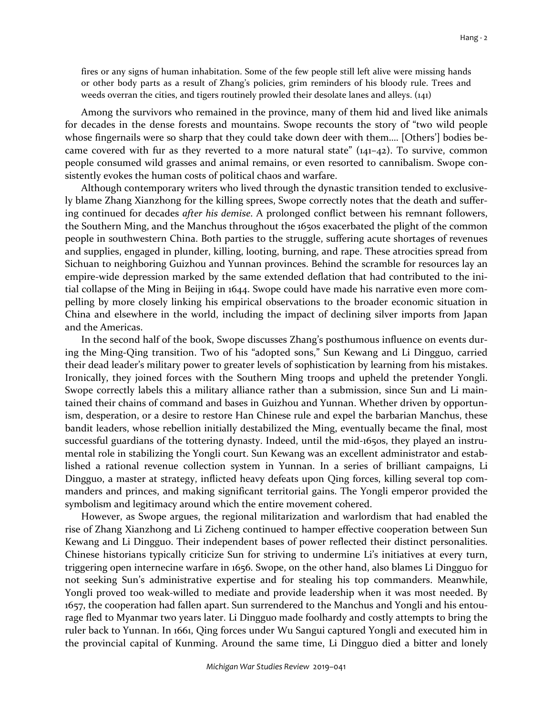fires or any signs of human inhabitation. Some of the few people still left alive were missing hands or other body parts as a result of Zhang's policies, grim reminders of his bloody rule. Trees and weeds overran the cities, and tigers routinely prowled their desolate lanes and alleys. (141)

Among the survivors who remained in the province, many of them hid and lived like animals for decades in the dense forests and mountains. Swope recounts the story of "two wild people whose fingernails were so sharp that they could take down deer with them.... [Others'] bodies became covered with fur as they reverted to a more natural state"  $(141-42)$ . To survive, common people consumed wild grasses and animal remains, or even resorted to cannibalism. Swope consistently evokes the human costs of political chaos and warfare.

Although contemporary writers who lived through the dynastic transition tended to exclusively blame Zhang Xianzhong for the killing sprees, Swope correctly notes that the death and suffering continued for decades *after his demise*. A prolonged conflict between his remnant followers, the Southern Ming, and the Manchus throughout the 1650s exacerbated the plight of the common people in southwestern China. Both parties to the struggle, suffering acute shortages of revenues and supplies, engaged in plunder, killing, looting, burning, and rape. These atrocities spread from Sichuan to neighboring Guizhou and Yunnan provinces. Behind the scramble for resources lay an empire-wide depression marked by the same extended deflation that had contributed to the initial collapse of the Ming in Beijing in 1644. Swope could have made his narrative even more compelling by more closely linking his empirical observations to the broader economic situation in China and elsewhere in the world, including the impact of declining silver imports from Japan and the Americas.

In the second half of the book, Swope discusses Zhang's posthumous influence on events during the Ming-Qing transition. Two of his "adopted sons," Sun Kewang and Li Dingguo, carried their dead leader's military power to greater levels of sophistication by learning from his mistakes. Ironically, they joined forces with the Southern Ming troops and upheld the pretender Yongli. Swope correctly labels this a military alliance rather than a submission, since Sun and Li maintained their chains of command and bases in Guizhou and Yunnan. Whether driven by opportunism, desperation, or a desire to restore Han Chinese rule and expel the barbarian Manchus, these bandit leaders, whose rebellion initially destabilized the Ming, eventually became the final, most successful guardians of the tottering dynasty. Indeed, until the mid-1650s, they played an instrumental role in stabilizing the Yongli court. Sun Kewang was an excellent administrator and established a rational revenue collection system in Yunnan. In a series of brilliant campaigns, Li Dingguo, a master at strategy, inflicted heavy defeats upon Qing forces, killing several top commanders and princes, and making significant territorial gains. The Yongli emperor provided the symbolism and legitimacy around which the entire movement cohered.

However, as Swope argues, the regional militarization and warlordism that had enabled the rise of Zhang Xianzhong and Li Zicheng continued to hamper effective cooperation between Sun Kewang and Li Dingguo. Their independent bases of power reflected their distinct personalities. Chinese historians typically criticize Sun for striving to undermine Li's initiatives at every turn, triggering open internecine warfare in 1656. Swope, on the other hand, also blames Li Dingguo for not seeking Sun's administrative expertise and for stealing his top commanders. Meanwhile, Yongli proved too weak-willed to mediate and provide leadership when it was most needed. By 1657, the cooperation had fallen apart. Sun surrendered to the Manchus and Yongli and his entourage fled to Myanmar two years later. Li Dingguo made foolhardy and costly attempts to bring the ruler back to Yunnan. In 1661, Qing forces under Wu Sangui captured Yongli and executed him in the provincial capital of Kunming. Around the same time, Li Dingguo died a bitter and lonely